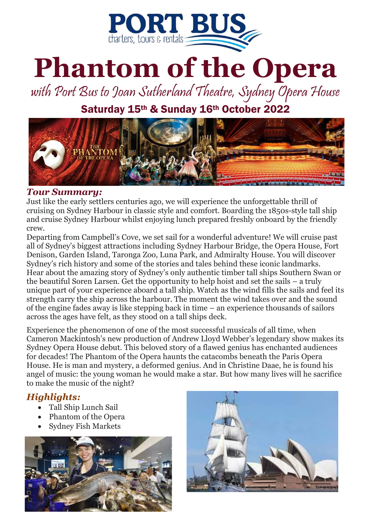

# **Phantom of the Opera**

with Port Bus to Joan Sutherland Theatre, Sydney Opera House

Saturday 15th & Sunday 16th October 2022



#### *Tour Summary:*

Just like the early settlers centuries ago, we will experience the unforgettable thrill of cruising on Sydney Harbour in classic style and comfort. Boarding the 1850s-style tall ship and cruise Sydney Harbour whilst enjoying lunch prepared freshly onboard by the friendly crew.

Departing from [Campbell's Cove](https://www.sydneytallships.com.au/more-info/departure-locations/), we set sail for a wonderful adventure! We will cruise past all of Sydney's biggest attractions including Sydney Harbour Bridge, the Opera House, Fort Denison, Garden Island, Taronga Zoo, Luna Park, and Admiralty House. You will discover Sydney's rich history and some of the stories and tales behind these iconic landmarks. Hear about the amazing story of Sydney's only authentic timber tall ships [Southern Swan](https://www.sydneytallships.com.au/more-info/sydney-harbour-tall-ships-fleet/southern-swan/) or the beautiful [Soren Larsen.](https://www.sydneytallships.com.au/more-info/sydney-harbour-tall-ships-fleet/soren-larsen/) Get the opportunity to help hoist and set the sails – a truly unique part of your experience aboard a tall ship. Watch as the wind fills the sails and feel its strength carry the ship across the harbour. The moment the wind takes over and the sound of the engine fades away is like stepping back in time – an experience thousands of sailors across the ages have felt, as they stood on a tall ships deck.

Experience the phenomenon of one of the most successful musicals of all time, when Cameron Mackintosh's new production of Andrew Lloyd Webber's legendary show makes its Sydney Opera House debut. This beloved story of a flawed genius has enchanted audiences for decades! The Phantom of the Opera haunts the catacombs beneath the Paris Opera House. He is man and mystery, a deformed genius. And in Christine Daae, he is found his angel of music: the young woman he would make a star. But how many lives will he sacrifice to make the music of the night?

### *Highlights:*

- Tall Ship Lunch Sail
- Phantom of the Opera
- Sydney Fish Markets